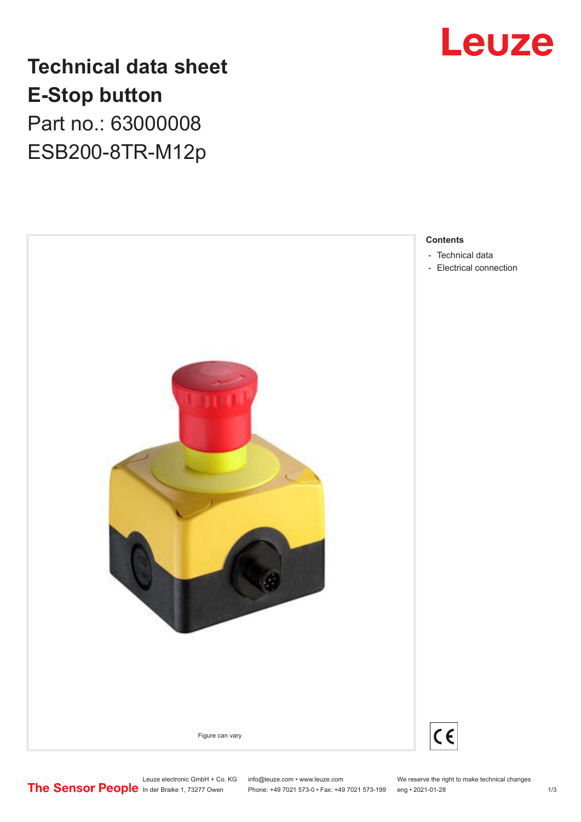

**Technical data sheet E-Stop button** Part no.: 63000008 ESB200-8TR-M12p



**Contents**

- [Technical data](#page-1-0)
- [Electrical connection](#page-2-0)

Leuze electronic GmbH + Co. KG info@leuze.com • www.leuze.com We reserve the right to make technical changes<br>
The Sensor People in der Braike 1, 73277 Owen Phone: +49 7021 573-0 • Fax: +49 7021 573-199 eng • 2021-01-28 Phone: +49 7021 573-0 • Fax: +49 7021 573-199 eng • 2021-01-28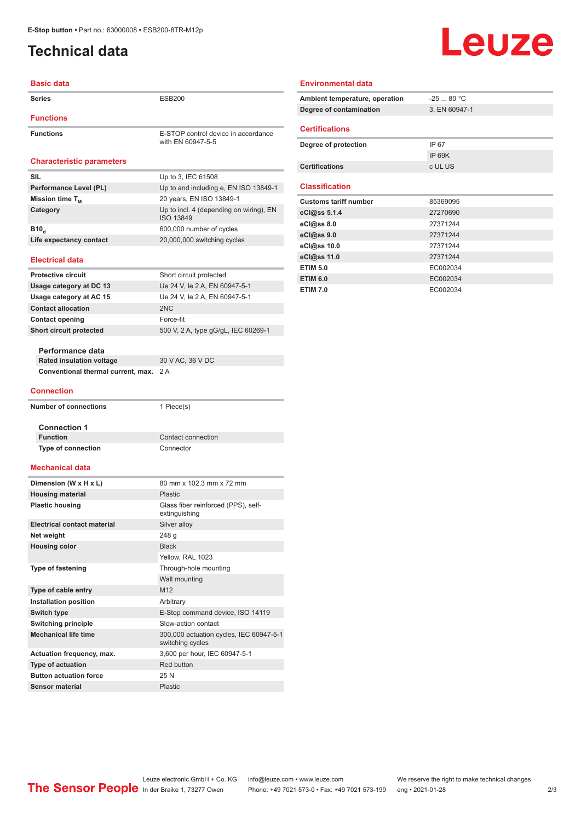## <span id="page-1-0"></span>**Technical data**

#### **Basic data**

| Series                                  | <b>ESB200</b>                                               |
|-----------------------------------------|-------------------------------------------------------------|
| <b>Functions</b>                        |                                                             |
| <b>Functions</b>                        | E-STOP control device in accordance<br>with EN 60947-5-5    |
| <b>Characteristic parameters</b>        |                                                             |
| SIL                                     | Up to 3, IEC 61508                                          |
| Performance Level (PL)                  | Up to and including e, EN ISO 13849-1                       |
| Mission time $T_{\scriptscriptstyle M}$ | 20 years, EN ISO 13849-1                                    |
| Category                                | Up to incl. 4 (depending on wiring), EN<br>ISO 13849        |
| B <sub>10</sub>                         | 600,000 number of cycles                                    |
| Life expectancy contact                 | 20,000,000 switching cycles                                 |
| <b>Electrical data</b>                  |                                                             |
| <b>Protective circuit</b>               | Short circuit protected                                     |
| Usage category at DC 13                 | Ue 24 V, le 2 A, EN 60947-5-1                               |
| Usage category at AC 15                 | Ue 24 V, le 2 A, EN 60947-5-1                               |
| <b>Contact allocation</b>               | 2N <sub>C</sub>                                             |
| <b>Contact opening</b>                  | Force-fit                                                   |
| Short circuit protected                 | 500 V, 2 A, type gG/gL, IEC 60269-1                         |
|                                         |                                                             |
| Performance data                        |                                                             |
| <b>Rated insulation voltage</b>         | 30 V AC, 36 V DC                                            |
| Conventional thermal current, max.      | 2A                                                          |
| <b>Connection</b>                       |                                                             |
| <b>Number of connections</b>            | 1 Piece(s)                                                  |
| <b>Connection 1</b>                     |                                                             |
| <b>Function</b>                         | Contact connection                                          |
| <b>Type of connection</b>               | Connector                                                   |
| Mechanical data                         |                                                             |
| Dimension (W x H x L)                   | 80 mm x 102.3 mm x 72 mm                                    |
| <b>Housing material</b>                 | Plastic                                                     |
| <b>Plastic housing</b>                  | Glass fiber reinforced (PPS), self-<br>extinguishing        |
| <b>Electrical contact material</b>      | Silver alloy                                                |
| Net weight                              | 248 g                                                       |
| <b>Housing color</b>                    | <b>Black</b>                                                |
|                                         | Yellow, RAL 1023                                            |
| <b>Type of fastening</b>                | Through-hole mounting                                       |
|                                         | Wall mounting                                               |
| Type of cable entry                     | M12                                                         |
| Installation position                   | Arbitrary                                                   |
| <b>Switch type</b>                      | E-Stop command device, ISO 14119                            |
| <b>Switching principle</b>              | Slow-action contact                                         |
| <b>Mechanical life time</b>             | 300,000 actuation cycles, IEC 60947-5-1<br>switching cycles |
| Actuation frequency, max.               | 3,600 per hour, IEC 60947-5-1                               |
| Type of actuation                       | Red button                                                  |
| <b>Button actuation force</b>           | 25N                                                         |
| <b>Sensor material</b>                  | <b>Plastic</b>                                              |

#### **Environmental data**

| Ambient temperature, operation | $-2580 °C$    |
|--------------------------------|---------------|
| Degree of contamination        | 3, EN 60947-1 |
|                                |               |
| <b>Certifications</b>          |               |
| Degree of protection           | IP 67         |
|                                | IP 69K        |
| <b>Certifications</b>          | c UL US       |
|                                |               |
| <b>Classification</b>          |               |
|                                |               |
| <b>Customs tariff number</b>   | 85369095      |
| eCl@ss 5.1.4                   | 27270690      |
| eCl@ss 8.0                     | 27371244      |
| eCl@ss 9.0                     | 27371244      |
| eCl@ss 10.0                    | 27371244      |
| eCl@ss 11.0                    | 27371244      |
| <b>ETIM 5.0</b>                | EC002034      |
| <b>ETIM 6.0</b>                | EC002034      |

Leuze